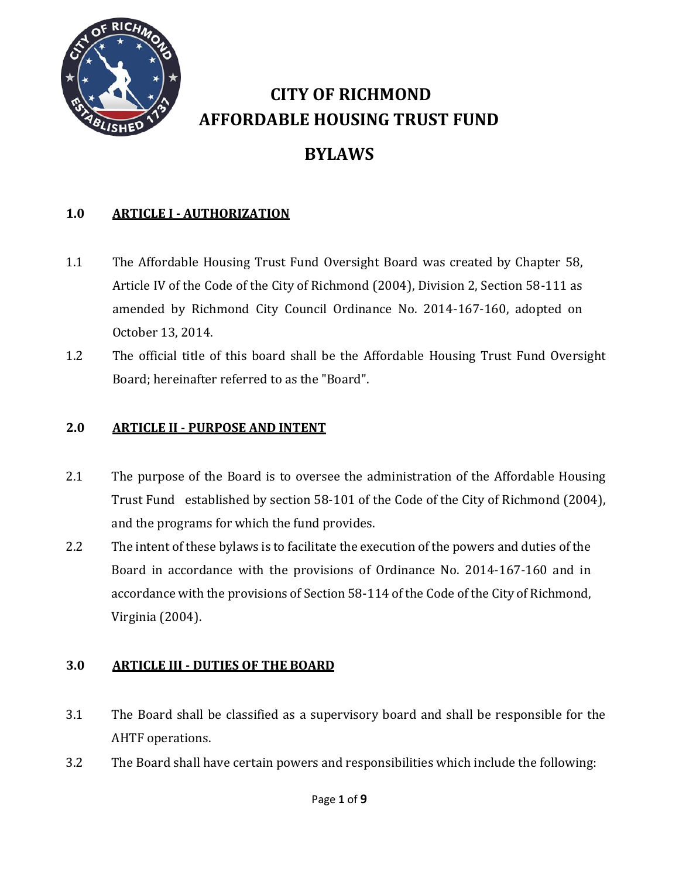

# **CITY OF RICHMOND AFFORDABLE HOUSING TRUST FUND**

## **BYLAWS**

## **1.0 ARTICLE I - AUTHORIZATION**

- 1.1 The Affordable Housing Trust Fund Oversight Board was created by Chapter 58, Article IV of the Code of the City of Richmond (2004), Division 2, Section 58-111 as amended by Richmond City Council Ordinance No. 2014-167-160, adopted on October 13, 2014.
- 1.2 The official title of this board shall be the Affordable Housing Trust Fund Oversight Board; hereinafter referred to as the "Board".

#### **2.0 ARTICLE II - PURPOSE AND INTENT**

- 2.1 The purpose of the Board is to oversee the administration of the Affordable Housing Trust Fund established by section 58-101 of the Code of the City of Richmond (2004), and the programs for which the fund provides.
- 2.2 The intent of these bylaws is to facilitate the execution of the powers and duties of the Board in accordance with the provisions of Ordinance No. 2014-167-160 and in accordance with the provisions of Section 58-114 of the Code of the City of Richmond, Virginia (2004).

#### **3.0 ARTICLE III - DUTIES OF THE BOARD**

- 3.1 The Board shall be classified as a supervisory board and shall be responsible for the AHTF operations.
- 3.2 The Board shall have certain powers and responsibilities which include the following: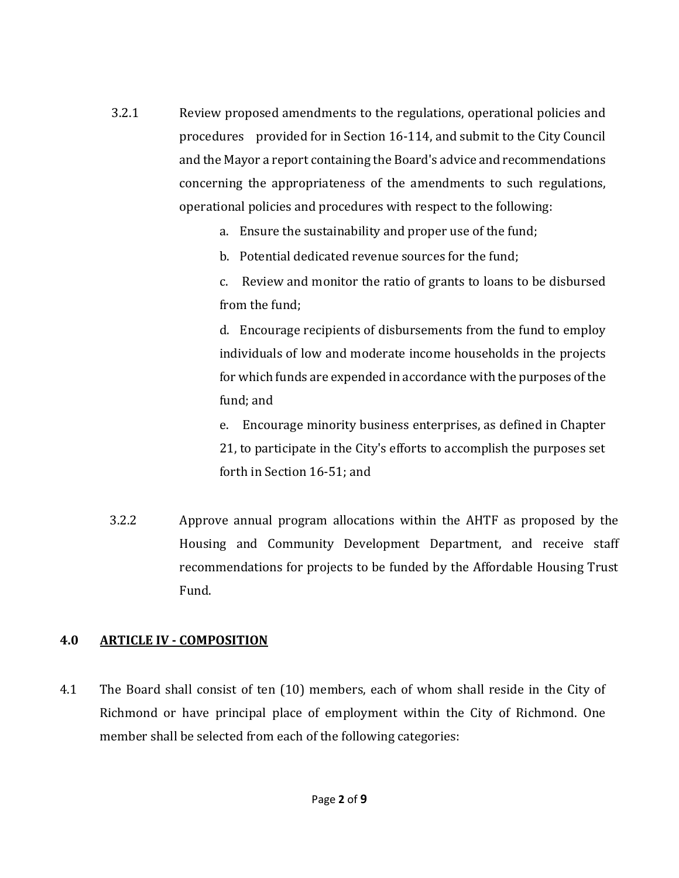- 3.2.1 Review proposed amendments to the regulations, operational policies and procedures provided for in Section 16-114, and submit to the City Council and the Mayor a report containing the Board's advice and recommendations concerning the appropriateness of the amendments to such regulations, operational policies and procedures with respect to the following:
	- a. Ensure the sustainability and proper use of the fund;
	- b. Potential dedicated revenue sources for the fund;
	- c. Review and monitor the ratio of grants to loans to be disbursed from the fund;

d. Encourage recipients of disbursements from the fund to employ individuals of low and moderate income households in the projects for which funds are expended in accordance with the purposes of the fund; and

e. Encourage minority business enterprises, as defined in Chapter 21, to participate in the City's efforts to accomplish the purposes set forth in Section 16-51; and

3.2.2 Approve annual program allocations within the AHTF as proposed by the Housing and Community Development Department, and receive staff recommendations for projects to be funded by the Affordable Housing Trust Fund.

#### **4.0 ARTICLE IV - COMPOSITION**

4.1 The Board shall consist of ten (10) members, each of whom shall reside in the City of Richmond or have principal place of employment within the City of Richmond. One member shall be selected from each of the following categories: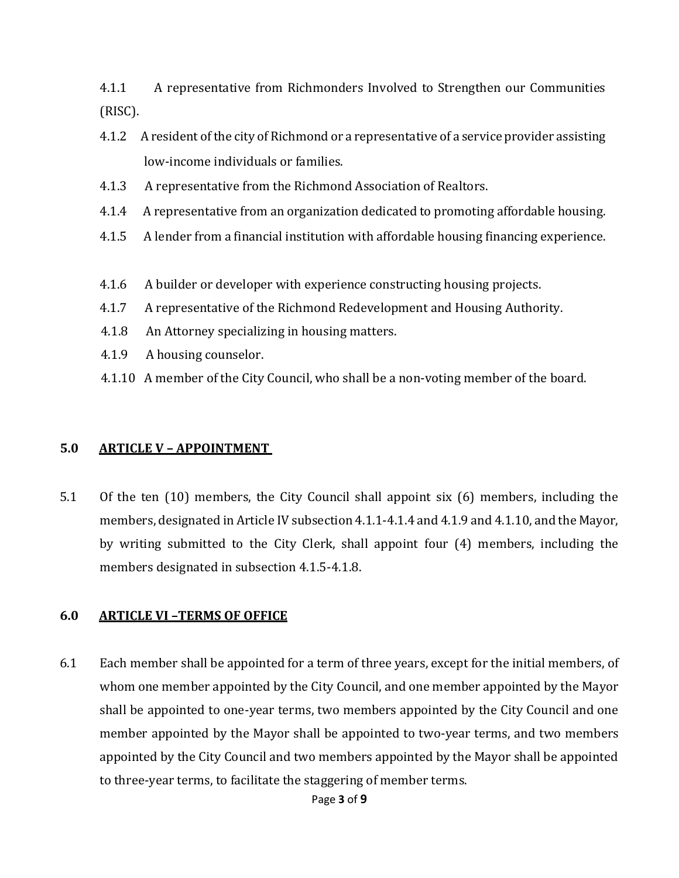4.1.1 A representative from Richmonders Involved to Strengthen our Communities (RISC).

- 4.1.2 A resident of the city of Richmond or a representative of a service provider assisting low-income individuals or families.
- 4.1.3 A representative from the Richmond Association of Realtors.
- 4.1.4 A representative from an organization dedicated to promoting affordable housing.
- 4.1.5 A lender from a financial institution with affordable housing financing experience.
- 4.1.6 A builder or developer with experience constructing housing projects.
- 4.1.7 A representative of the Richmond Redevelopment and Housing Authority.
- 4.1.8 An Attorney specializing in housing matters.
- 4.1.9 A housing counselor.
- 4.1.10 A member of the City Council, who shall be a non-voting member of the board.

#### **5.0 ARTICLE V – APPOINTMENT**

5.1 Of the ten (10) members, the City Council shall appoint six (6) members, including the members, designated in Article IV subsection 4.1.1-4.1.4 and 4.1.9 and 4.1.10, and the Mayor, by writing submitted to the City Clerk, shall appoint four (4) members, including the members designated in subsection 4.1.5-4.1.8.

#### **6.0 ARTICLE VI –TERMS OF OFFICE**

6.1 Each member shall be appointed for a term of three years, except for the initial members, of whom one member appointed by the City Council, and one member appointed by the Mayor shall be appointed to one-year terms, two members appointed by the City Council and one member appointed by the Mayor shall be appointed to two-year terms, and two members appointed by the City Council and two members appointed by the Mayor shall be appointed to three-year terms, to facilitate the staggering of member terms.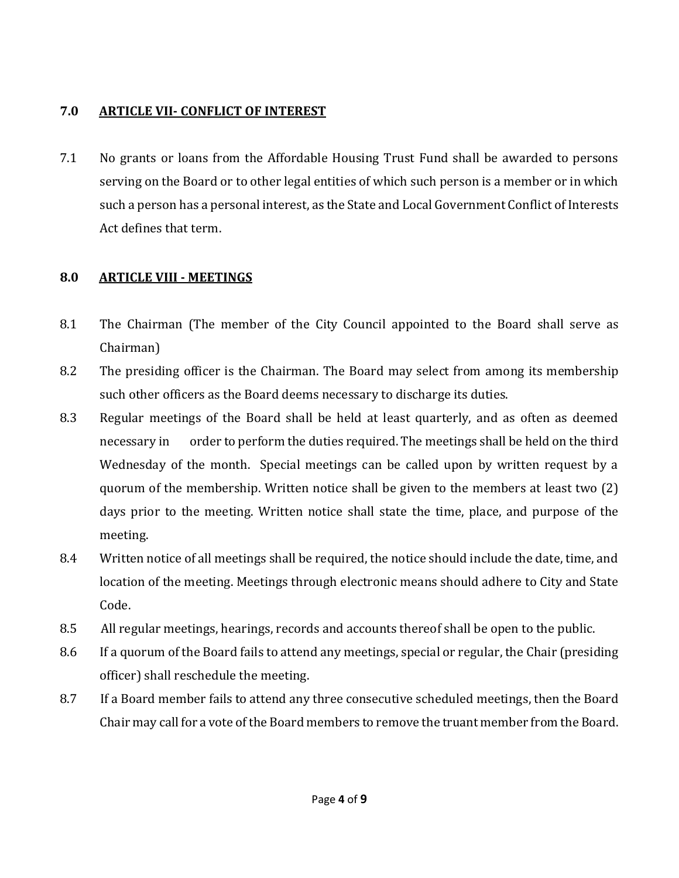#### **7.0 ARTICLE VII- CONFLICT OF INTEREST**

7.1 No grants or loans from the Affordable Housing Trust Fund shall be awarded to persons serving on the Board or to other legal entities of which such person is a member or in which such a person has a personal interest, as the State and Local Government Conflict of Interests Act defines that term.

## **8.0 ARTICLE VIII - MEETINGS**

- 8.1 The Chairman (The member of the City Council appointed to the Board shall serve as Chairman)
- 8.2 The presiding officer is the Chairman. The Board may select from among its membership such other officers as the Board deems necessary to discharge its duties.
- 8.3 Regular meetings of the Board shall be held at least quarterly, and as often as deemed necessary in order to perform the duties required. The meetings shall be held on the third Wednesday of the month. Special meetings can be called upon by written request by a quorum of the membership. Written notice shall be given to the members at least two (2) days prior to the meeting. Written notice shall state the time, place, and purpose of the meeting.
- 8.4 Written notice of all meetings shall be required, the notice should include the date, time, and location of the meeting. Meetings through electronic means should adhere to City and State Code.
- 8.5 All regular meetings, hearings, records and accounts thereof shall be open to the public.
- 8.6 If a quorum of the Board fails to attend any meetings, special or regular, the Chair (presiding officer) shall reschedule the meeting.
- 8.7 If a Board member fails to attend any three consecutive scheduled meetings, then the Board Chair may call for a vote of the Board members to remove the truant member from the Board.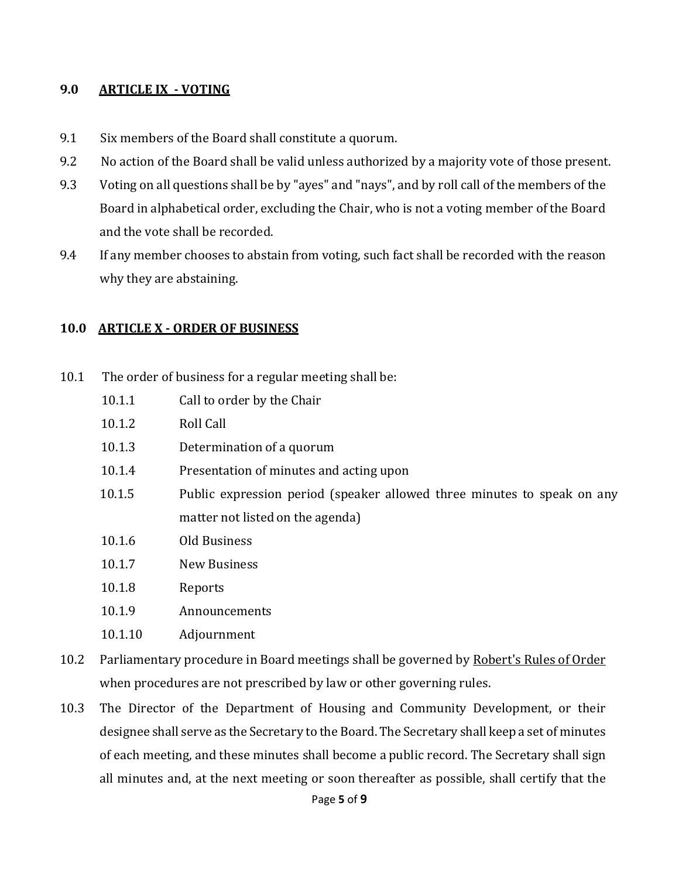#### **9.0 ARTICLE IX - VOTING**

- 9.1 Six members of the Board shall constitute a quorum.
- 9.2 No action of the Board shall be valid unless authorized by a majority vote of those present.
- 9.3 Voting on all questions shall be by "ayes" and "nays", and by roll call of the members of the Board in alphabetical order, excluding the Chair, who is not a voting member of the Board and the vote shall be recorded.
- 9.4 If any member chooses to abstain from voting, such fact shall be recorded with the reason why they are abstaining.

#### **10.0 ARTICLE X - ORDER OF BUSINESS**

- 10.1 The order of business for a regular meeting shall be:
	- 10.1.1 Call to order by the Chair
	- 10.1.2 Roll Call
	- 10.1.3 Determination of a quorum
	- 10.1.4 Presentation of minutes and acting upon
	- 10.1.5 Public expression period (speaker allowed three minutes to speak on any matter not listed on the agenda)
	- 10.1.6 Old Business
	- 10.1.7 New Business
	- 10.1.8 Reports
	- 10.1.9 Announcements
	- 10.1.10 Adjournment
- 10.2 Parliamentary procedure in Board meetings shall be governed by Robert's Rules of Order when procedures are not prescribed by law or other governing rules.
- 10.3 The Director of the Department of Housing and Community Development, or their designee shall serve as the Secretary to the Board. The Secretary shall keep a set of minutes of each meeting, and these minutes shall become a public record. The Secretary shall sign all minutes and, at the next meeting or soon thereafter as possible, shall certify that the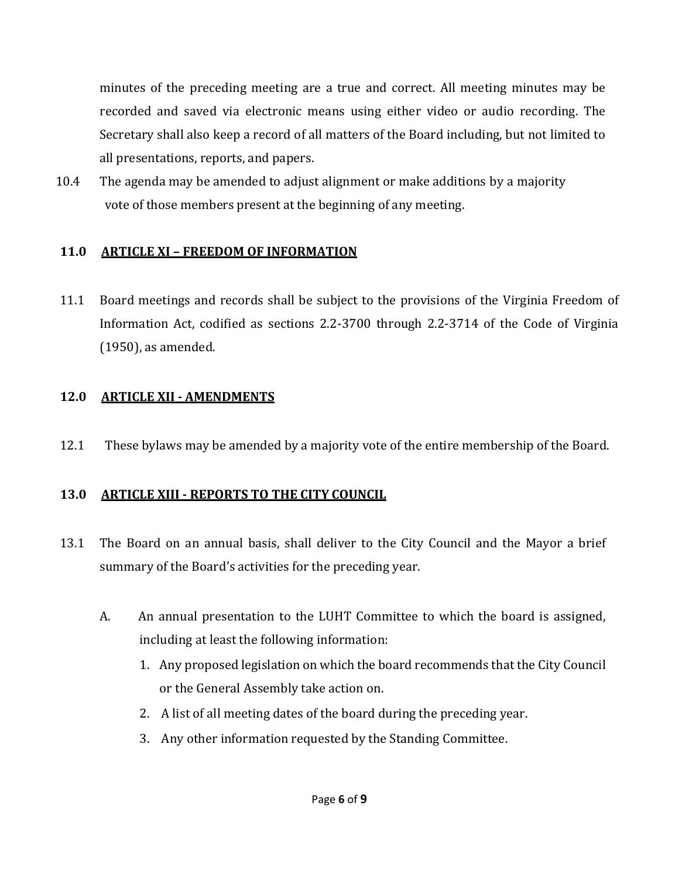minutes of the preceding meeting are a true and correct. All meeting minutes may be recorded and saved via electronic means using either video or audio recording. The Secretary shall also keep a record of all matters of the Board including, but not limited to all presentations, reports, and papers.

10.4 The agenda may be amended to adjust alignment or make additions by a majority vote of those members present at the beginning of any meeting.

#### **11.0 ARTICLE XI – FREEDOM OF INFORMATION**

11.1 Board meetings and records shall be subject to the provisions of the Virginia Freedom of Information Act, codified as sections 2.2-3700 through 2.2-3714 of the Code of Virginia (1950), as amended.

## **12.0 ARTICLE XII - AMENDMENTS**

12.1 These bylaws may be amended by a majority vote of the entire membership of the Board.

#### **13.0 ARTICLE XIII - REPORTS TO THE CITY COUNCIL**

- 13.1 The Board on an annual basis, shall deliver to the City Council and the Mayor a brief summary of the Board's activities for the preceding year.
	- A. An annual presentation to the LUHT Committee to which the board is assigned, including at least the following information:
		- 1. Any proposed legislation on which the board recommends that the City Council or the General Assembly take action on.
		- 2. A list of all meeting dates of the board during the preceding year.
		- 3. Any other information requested by the Standing Committee.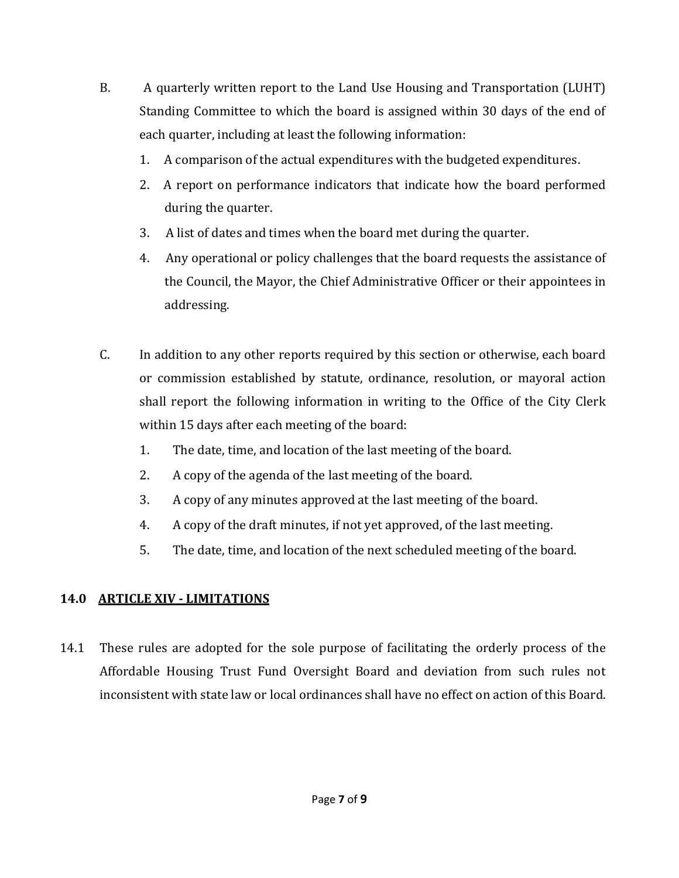- B. A quarterly written report to the Land Use Housing and Transportation (LUHT) Standing Committee to which the board is assigned within 30 days of the end of each quarter, including at least the following information:
	- 1. A comparison of the actual expenditures with the budgeted expenditures.
	- 2. A report on performance indicators that indicate how the board performed during the quarter.
	- 3. A list of dates and times when the board met during the quarter.
	- 4. Any operational or policy challenges that the board requests the assistance of the Council, the Mayor, the Chief Administrative Officer or their appointees in addressing.
- C. In addition to any other reports required by this section or otherwise, each board or commission established by statute, ordinance, resolution, or mayoral action shall report the following information in writing to the Office of the City Clerk within 15 days after each meeting of the board:
	- 1. The date, time, and location of the last meeting of the board.
	- 2. A copy of the agenda of the last meeting of the board.
	- 3. A copy of any minutes approved at the last meeting of the board.
	- 4. A copy of the draft minutes, if not yet approved, of the last meeting.
	- 5. The date, time, and location of the next scheduled meeting of the board.

## **14.0 ARTICLE XIV - LIMITATIONS**

14.1 These rules are adopted for the sole purpose of facilitating the orderly process of the Affordable Housing Trust Fund Oversight Board and deviation from such rules not inconsistent with state law or local ordinances shall have no effect on action of this Board.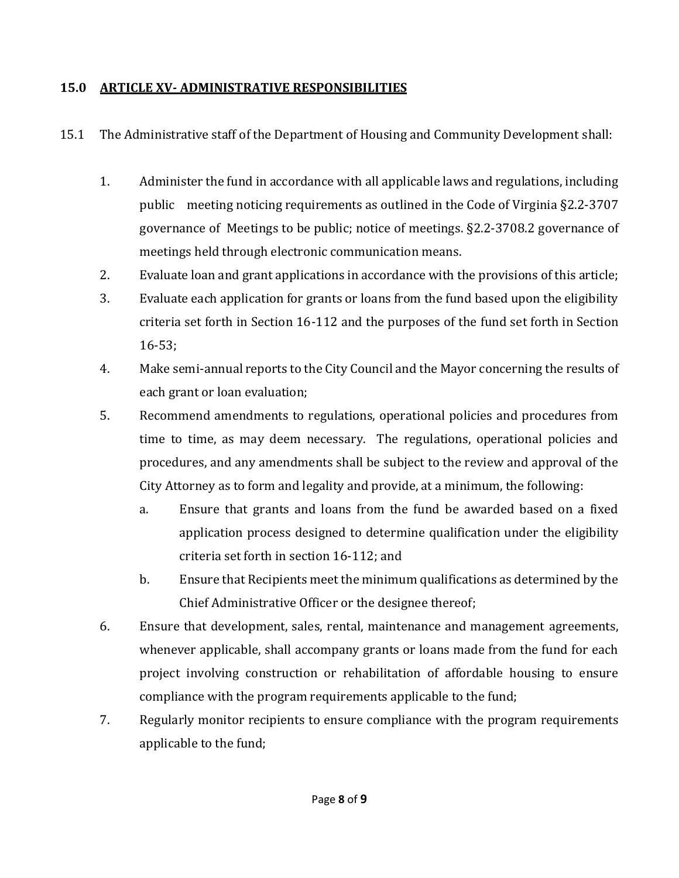#### **15.0 ARTICLE XV- ADMINISTRATIVE RESPONSIBILITIES**

15.1 The Administrative staff of the Department of Housing and Community Development shall:

- 1. Administer the fund in accordance with all applicable laws and regulations, including public meeting noticing requirements as outlined in the Code of Virginia §2.2-3707 governance of Meetings to be public; notice of meetings. §2.2-3708.2 governance of meetings held through electronic communication means.
- 2. Evaluate loan and grant applications in accordance with the provisions of this article;
- 3. Evaluate each application for grants or loans from the fund based upon the eligibility criteria set forth in Section 16-112 and the purposes of the fund set forth in Section 16-53;
- 4. Make semi-annual reports to the City Council and the Mayor concerning the results of each grant or loan evaluation;
- 5. Recommend amendments to regulations, operational policies and procedures from time to time, as may deem necessary. The regulations, operational policies and procedures, and any amendments shall be subject to the review and approval of the City Attorney as to form and legality and provide, at a minimum, the following:
	- a. Ensure that grants and loans from the fund be awarded based on a fixed application process designed to determine qualification under the eligibility criteria set forth in section 16-112; and
	- b. Ensure that Recipients meet the minimum qualifications as determined by the Chief Administrative Officer or the designee thereof;
- 6. Ensure that development, sales, rental, maintenance and management agreements, whenever applicable, shall accompany grants or loans made from the fund for each project involving construction or rehabilitation of affordable housing to ensure compliance with the program requirements applicable to the fund;
- 7. Regularly monitor recipients to ensure compliance with the program requirements applicable to the fund;